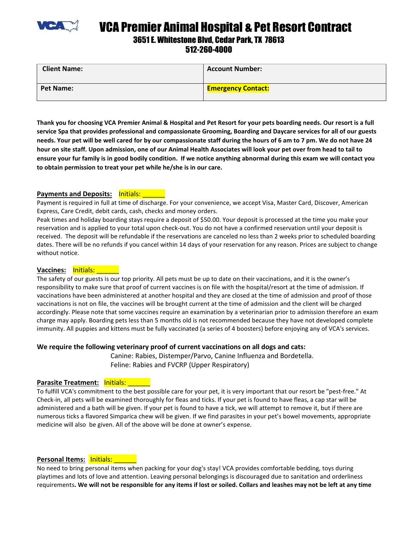

VCA Premier Animal Hospital & Pet Resort Contract

# 3651 E. Whitestone Blvd, Cedar Park, TX 78613

512-260-4000

| <b>Client Name:</b> | <b>Account Number:</b>    |
|---------------------|---------------------------|
| <b>Pet Name:</b>    | <b>Emergency Contact:</b> |

**Thank you for choosing VCA Premier Animal & Hospital and Pet Resort for your pets boarding needs. Our resort is a full service Spa that provides professional and compassionate Grooming, Boarding and Daycare services for all of our guests needs. Your pet will be well cared for by our compassionate staff during the hours of 6 am to 7 pm. We do not have 24 hour on site staff. Upon admission, one of our Animal Health Associates will look your pet over from head to tail to ensure your fur family is in good bodily condition. If we notice anything abnormal during this exam we will contact you to obtain permission to treat your pet while he/she is in our care.** 

## **Payments and Deposits:** lnitials:

Payment is required in full at time of discharge. For your convenience, we accept Visa, Master Card, Discover, American Express, Care Credit, debit cards, cash, checks and money orders.

Peak times and holiday boarding stays require a deposit of \$50.00. Your deposit is processed at the time you make your reservation and is applied to your total upon check-out. You do not have a confirmed reservation until your deposit is received. The deposit will be refundable if the reservations are canceled no less than 2 weeks prior to scheduled boarding dates. There will be no refunds if you cancel within 14 days of your reservation for any reason. Prices are subject to change without notice.

#### Vaccines: **Initials:**

The safety of our guests is our top priority. All pets must be up to date on their vaccinations, and it is the owner's responsibility to make sure that proof of current vaccines is on file with the hospital/resort at the time of admission. If vaccinations have been administered at another hospital and they are closed at the time of admission and proof of those vaccinations is not on file, the vaccines will be brought current at the time of admission and the client will be charged accordingly. Please note that some vaccines require an examination by a veterinarian prior to admission therefore an exam charge may apply. Boarding pets less than 5 months old is not recommended because they have not developed complete immunity. All puppies and kittens must be fully vaccinated (a series of 4 boosters) before enjoying any of VCA's services.

#### **We require the following veterinary proof of current vaccinations on all dogs and cats:**

Canine: Rabies, Distemper/Parvo, Canine Influenza and Bordetella. Feline: Rabies and FVCRP (Upper Respiratory)

#### **Parasite Treatment: Initials: \_\_\_\_\_**

To fulfill VCA's commitment to the best possible care for your pet, it is very important that our resort be "pest-free." At Check-in, all pets will be examined thoroughly for fleas and ticks. If your pet is found to have fleas, a cap star will be administered and a bath will be given. If your pet is found to have a tick, we will attempt to remove it, but if there are numerous ticks a flavored Simparica chew will be given. If we find parasites in your pet's bowel movements, appropriate medicine will also be given. All of the above will be done at owner's expense.

## **Personal Items: Initials:**

No need to bring personal items when packing for your dog's stay! VCA provides comfortable bedding, toys during playtimes and lots of love and attention. Leaving personal belongings is discouraged due to sanitation and orderliness requirements**. We will not be responsible for any items if lost or soiled. Collars and leashes may not be left at any time**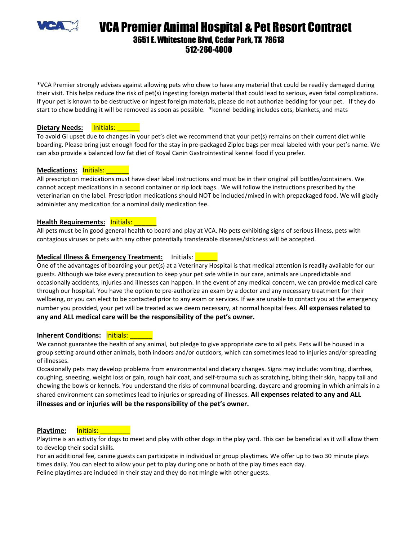

## VCA Premier Animal Hospital & Pet Resort Contract 3651 E. Whitestone Blvd, Cedar Park, TX 78613 512-260-4000

\*VCA Premier strongly advises against allowing pets who chew to have any material that could be readily damaged during their visit. This helps reduce the risk of pet(s) ingesting foreign material that could lead to serious, even fatal complications. If your pet is known to be destructive or ingest foreign materials, please do not authorize bedding for your pet. If they do start to chew bedding it will be removed as soon as possible. \*kennel bedding includes cots, blankets, and mats

#### **Dietary Needs:** Initials: Mate

To avoid GI upset due to changes in your pet's diet we recommend that your pet(s) remains on their current diet while boarding. Please bring just enough food for the stay in pre-packaged Ziploc bags per meal labeled with your pet's name. We can also provide a balanced low fat diet of Royal Canin Gastrointestinal kennel food if you prefer.

## **Medications: Initials:**

All prescription medications must have clear label instructions and must be in their original pill bottles/containers. We cannot accept medications in a second container or zip lock bags. We will follow the instructions prescribed by the veterinarian on the label. Prescription medications should NOT be included/mixed in with prepackaged food. We will gladly administer any medication for a nominal daily medication fee.

## **Health Requirements: Initials: Leafer**

All pets must be in good general health to board and play at VCA. No pets exhibiting signs of serious illness, pets with contagious viruses or pets with any other potentially transferable diseases/sickness will be accepted.

## **Medical Illness & Emergency Treatment:** Initials: \_\_\_\_\_\_

One of the advantages of boarding your pet(s) at a Veterinary Hospital is that medical attention is readily available for our guests. Although we take every precaution to keep your pet safe while in our care, animals are unpredictable and occasionally accidents, injuries and illnesses can happen. In the event of any medical concern, we can provide medical care through our hospital. You have the option to pre-authorize an exam by a doctor and any necessary treatment for their wellbeing, or you can elect to be contacted prior to any exam or services. If we are unable to contact you at the emergency number you provided, your pet will be treated as we deem necessary, at normal hospital fees. **All expenses related to any and ALL medical care will be the responsibility of the pet's owner.** 

#### **Inherent Conditions: Initials:**

We cannot guarantee the health of any animal, but pledge to give appropriate care to all pets. Pets will be housed in a group setting around other animals, both indoors and/or outdoors, which can sometimes lead to injuries and/or spreading of illnesses.

Occasionally pets may develop problems from environmental and dietary changes. Signs may include: vomiting, diarrhea, coughing, sneezing, weight loss or gain, rough hair coat, and self-trauma such as scratching, biting their skin, happy tail and chewing the bowls or kennels. You understand the risks of communal boarding, daycare and grooming in which animals in a shared environment can sometimes lead to injuries or spreading of illnesses. **All expenses related to any and ALL illnesses and or injuries will be the responsibility of the pet's owner.** 

## Playtime: Initials: **No. 1998**

Playtime is an activity for dogs to meet and play with other dogs in the play yard. This can be beneficial as it will allow them to develop their social skills.

For an additional fee, canine guests can participate in individual or group playtimes. We offer up to two 30 minute plays times daily. You can elect to allow your pet to play during one or both of the play times each day.

Feline playtimes are included in their stay and they do not mingle with other guests.